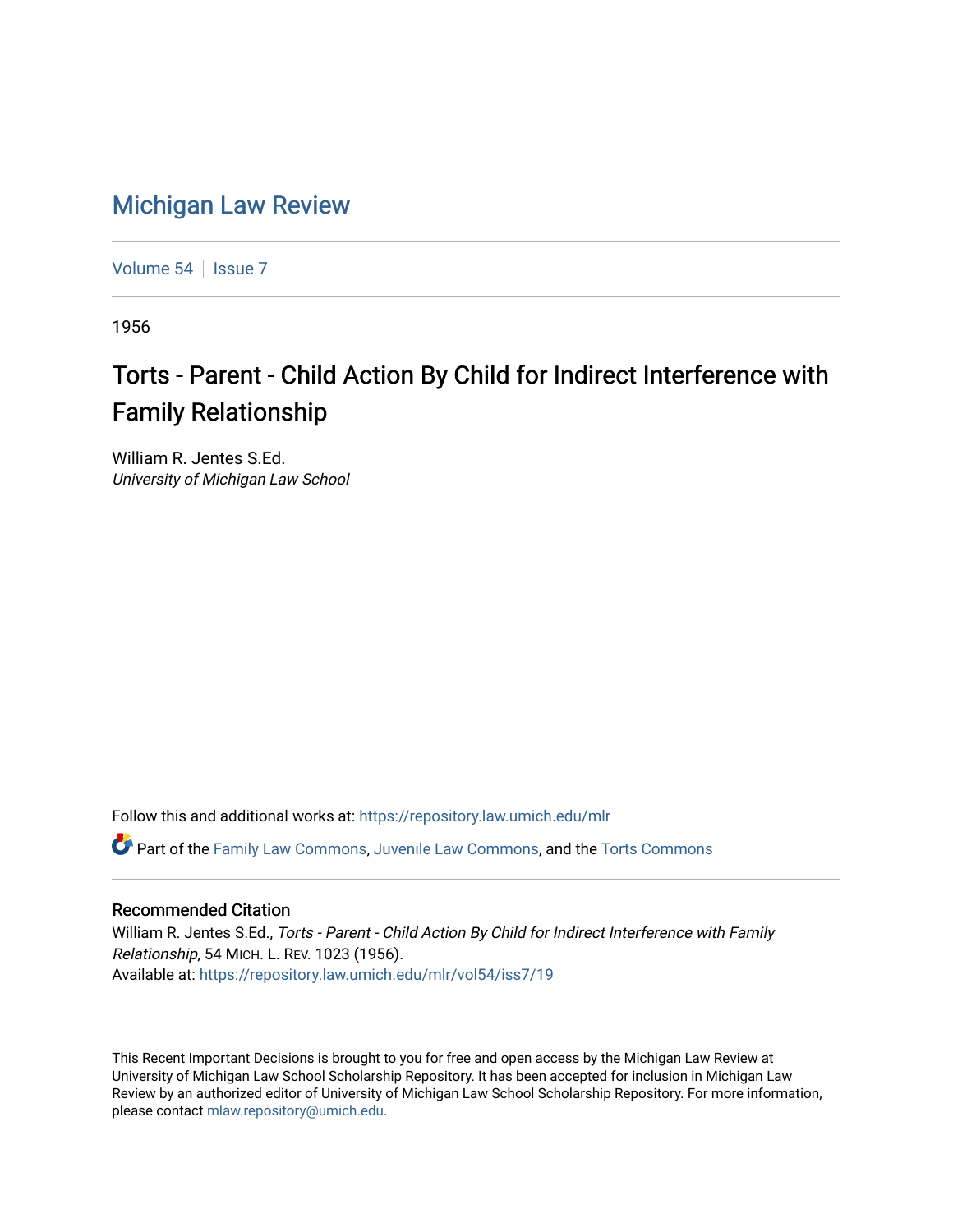## [Michigan Law Review](https://repository.law.umich.edu/mlr)

[Volume 54](https://repository.law.umich.edu/mlr/vol54) | [Issue 7](https://repository.law.umich.edu/mlr/vol54/iss7)

1956

## Torts - Parent - Child Action By Child for Indirect Interference with Family Relationship

William R. Jentes S.Ed. University of Michigan Law School

Follow this and additional works at: [https://repository.law.umich.edu/mlr](https://repository.law.umich.edu/mlr?utm_source=repository.law.umich.edu%2Fmlr%2Fvol54%2Fiss7%2F19&utm_medium=PDF&utm_campaign=PDFCoverPages) 

Part of the [Family Law Commons,](http://network.bepress.com/hgg/discipline/602?utm_source=repository.law.umich.edu%2Fmlr%2Fvol54%2Fiss7%2F19&utm_medium=PDF&utm_campaign=PDFCoverPages) [Juvenile Law Commons](http://network.bepress.com/hgg/discipline/851?utm_source=repository.law.umich.edu%2Fmlr%2Fvol54%2Fiss7%2F19&utm_medium=PDF&utm_campaign=PDFCoverPages), and the [Torts Commons](http://network.bepress.com/hgg/discipline/913?utm_source=repository.law.umich.edu%2Fmlr%2Fvol54%2Fiss7%2F19&utm_medium=PDF&utm_campaign=PDFCoverPages)

## Recommended Citation

William R. Jentes S.Ed., Torts - Parent - Child Action By Child for Indirect Interference with Family Relationship, 54 MICH. L. REV. 1023 (1956). Available at: [https://repository.law.umich.edu/mlr/vol54/iss7/19](https://repository.law.umich.edu/mlr/vol54/iss7/19?utm_source=repository.law.umich.edu%2Fmlr%2Fvol54%2Fiss7%2F19&utm_medium=PDF&utm_campaign=PDFCoverPages) 

This Recent Important Decisions is brought to you for free and open access by the Michigan Law Review at University of Michigan Law School Scholarship Repository. It has been accepted for inclusion in Michigan Law Review by an authorized editor of University of Michigan Law School Scholarship Repository. For more information, please contact [mlaw.repository@umich.edu.](mailto:mlaw.repository@umich.edu)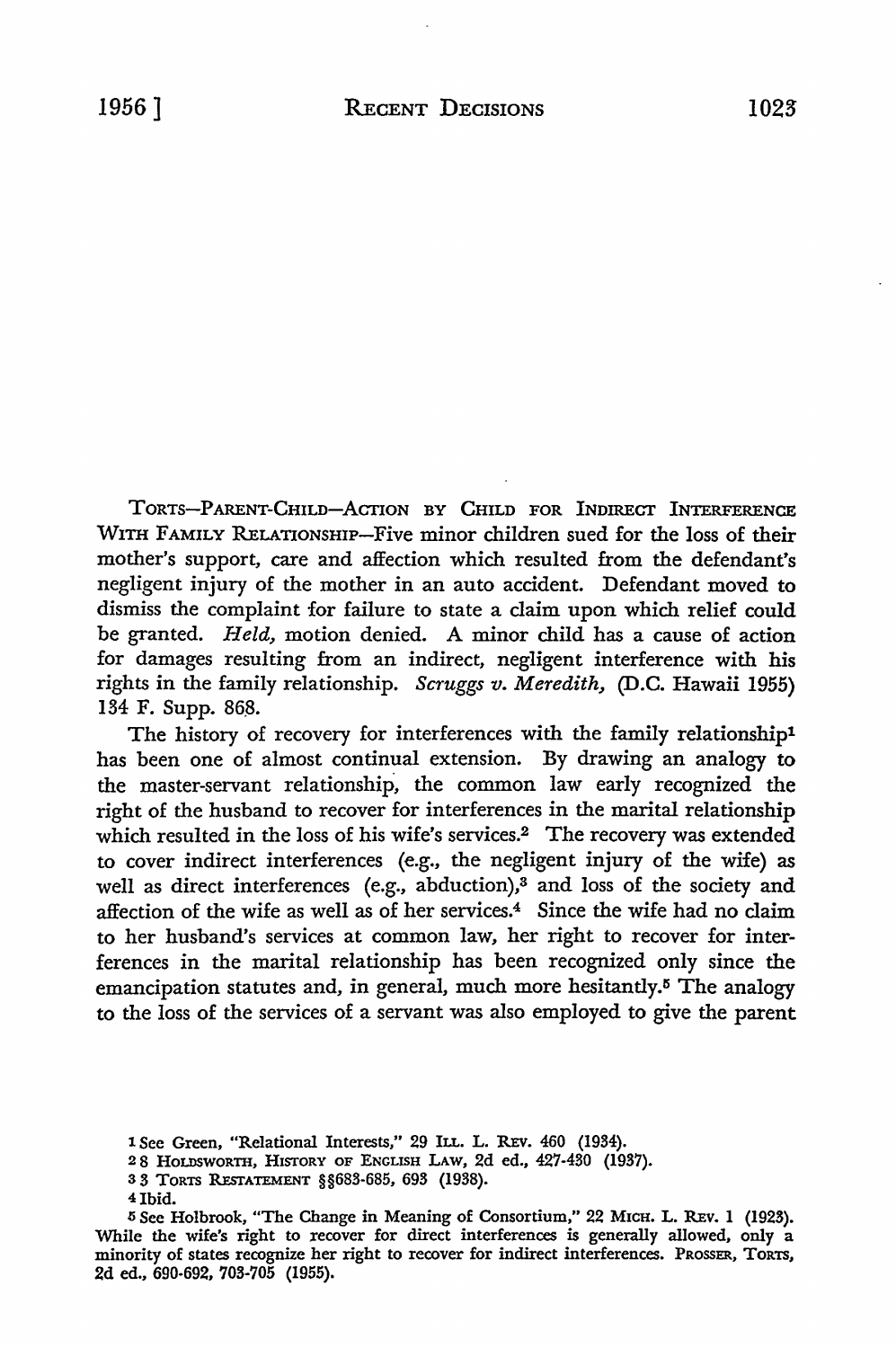TORTS-PARENT-CHILD-ACTION BY CHILD FOR INDIRECT INTERFERENCE WITH FAMILY RELATIONSHIP-Five minor children sued for the loss of their mother's support, care and affection which resulted from the defendant's negligent injury of the mother in an auto accident. Defendant moved to dismiss the complaint for failure to state a claim upon which relief could be granted. *Held,* motion denied. A minor child has a cause of action for damages resulting from an indirect, negligent interference with his rights in the family relationship. *Scruggs v. Meredith,* (D.C. Hawaii 1955) 134 F. Supp. 868.

The history of recovery for interferences with the family relationship1 has been one of almost continual extension. By drawing an analogy to the master-servant relationship, the common law early recognized the right of the husband to recover for interferences in the marital relationship which resulted in the loss of his wife's services.<sup>2</sup> The recovery was extended to cover indirect interferences (e.g., the negligent injury of the wife) as well as direct interferences (e.g., abduction),<sup>3</sup> and loss of the society and affection of the wife as well as of her services.4 Since the wife had no claim to her husband's services at common law, her right to recover for interferences in the marital relationship has been recognized only since the emancipation statutes and, in general, much more hesitantly.<sup>5</sup> The analogy to the loss of the services of a servant was also employed to give the parent

4Ibid.

<sup>1</sup> See Green, "Relational Interests," 29 ILL. L. REV. 460 (1934).

<sup>2 8</sup> HOLDSWORTH, HISTORY OF ENGLISH LAw, 2d ed., 427-430 (1937).

<sup>3</sup> 3 TORTS RESTATEMENT §§683-685, 693 (1938).

<sup>5</sup>See Holbrook, "The Change in Meaning of Consortium," 22 MICH. L. REv. 1 (1923). While the wife's right to recover for direct interferences is generally allowed, only a minority of states recognize her right to recover for indirect interferences. PROSSER, TORTS, 2d ed., 690-692, 703-705 (1955).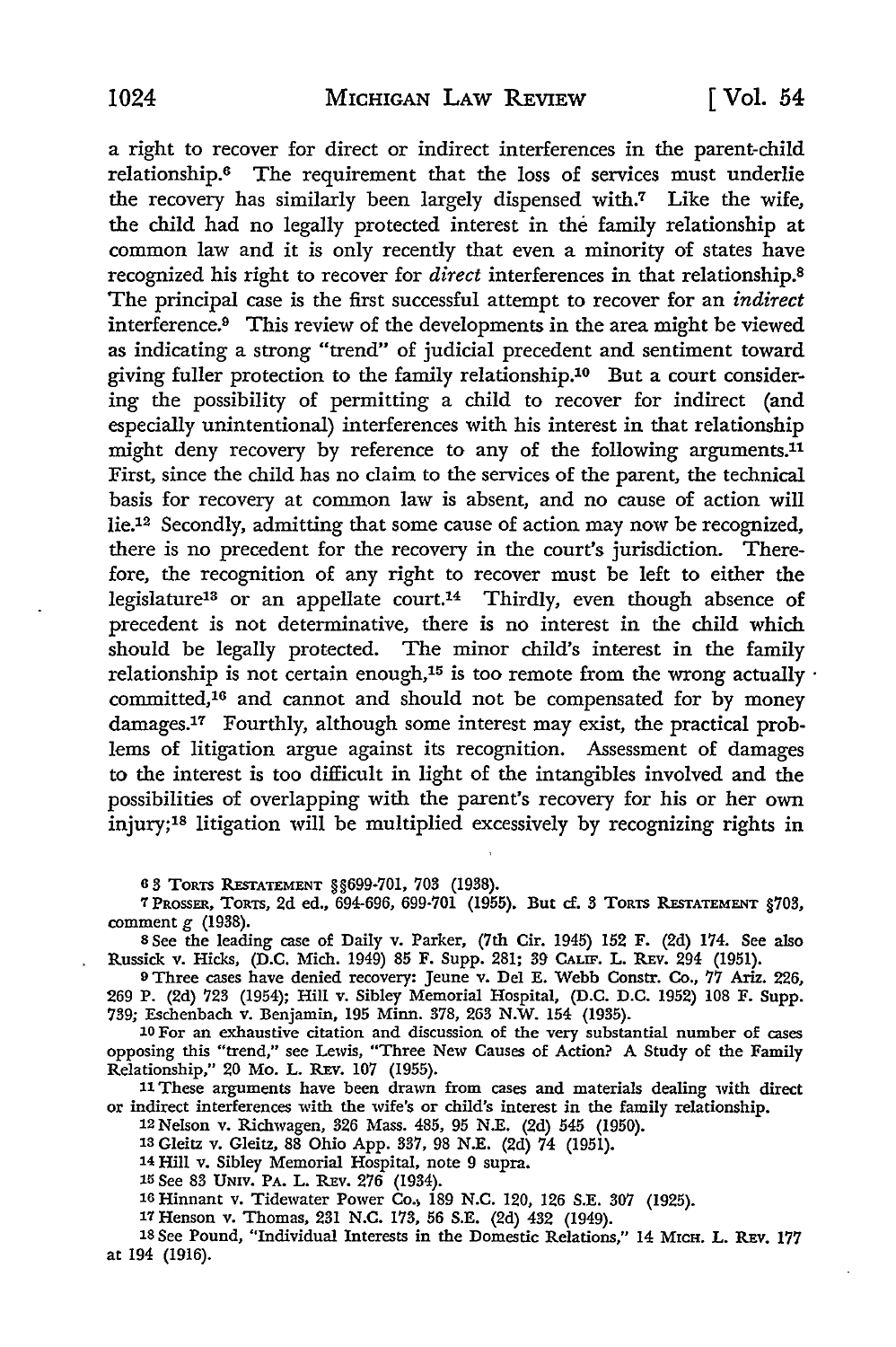a right to recover for direct or indirect interferences in the parent-child relationship.6 The requirement that the loss of services must underlie the recovery has similarly been largely dispensed with.7 Like the wife, the child had no legally protected interest in the family relationship at common law and it is only recently that even a minority of states have recognized his right to recover for *direct* interferences in that relationship.<sup>8</sup> The principal case is the first successful attempt to recover for an *indirect*  interference.9 This review of the developments in the area might be viewed as indicating a strong "trend" of judicial precedent and sentiment toward giving fuller protection to the family relationship.10 But a court considering the possibility of permitting a child to recover for indirect (and especially unintentional) interferences with his interest in that relationship might deny recovery by reference to any of the following arguments.<sup>11</sup> First, since the child has no claim to the services of the parent, the technical basis for recovery at common law is absent, and no cause of action will Iie.12 Secondly, admitting that some cause of action may now be recognized, there is no precedent for the recovery in the court's jurisdiction. Therefore, the recognition of any right to recover must be left to either the legislature13 or an appellate court.14 Thirdly, even though absence of precedent is not determinative, there is no interest in the child which should be legally protected. The minor child's interest in the family relationship is not certain enough,<sup>15</sup> is too remote from the wrong actually  $\cdot$ committed,16 and cannot and should not be compensated for by money damages.17 Fourthly, although some interest may exist, the practical problems of litigation argue against its recognition. Assessment of damages to the interest is too difficult in light of the intangibles involved and the possibilities of overlapping with the parent's recovery for his or her own injury;18 litigation will be multiplied excessively by recognizing rights in

6 3 TORTS llEsTATEMENT §§699-701, 703 (1938).

7 PROSSER, TORTS, 2d ed., 694-696, 699-701 (1955). But cf. 3 TORTS REsTATEMENT §703, comment g (1938).

s See the leading case of Daily v. Parker, (7th Cir. 1945) 152 F. (2d) 174. See also Russick v. Hicks, (D.C. Mich. 1949) 85 F. Supp. 281; 39 CALIF. L. REv. 294 (1951).

9 Three cases have denied recovery: Jeune v. Del E. Webb Constr. Co., 77 Ariz. 226, 269 P. (2d) 723 (1954); Hill v. Sibley Memorial Hospital, (D.C. D.C. 1952) 108 F. Supp. 739; Eschenbach v. Benjamin, 195 Minn. 378, 263 N.W. 154 (1935).

10 For an exhaustive citation and discussion of the very substantial number of cases opposing this "trend," see Lewis, "Three New Causes of Action? A Study of the Family Relationship," 20 Mo. L. REv. 107 (1955).

11 These arguments have been drawn from cases and materials dealing with direct or indirect interferences with the wife's or child's interest in the family relationship.

12 Nelson v. Richwagen, 326 Mass. 485, 95 N.E. (2d) 545 (1950).

13 Gleitz v. Gleitz, 88 Ohio App. 337, 98 N.E. (2d) 74 (1951).

14 Hill v. Sibley Memorial Hospital, note 9 supra.

15 See 83 UNIV. PA. L. REV. 276 (1934).

16 Hinnant v. Tidewater Power Co.; 189 N.C. 120, 126 S.E. 307 (1925).

17 Henson v. Thomas, 231 N.C. 173, 56 S.E. (2d) 432 (1949).

18 See Pound, "Individual Interests in the Domestic Relations," 14 MICH. L. REv. 177 at 194 (1916).